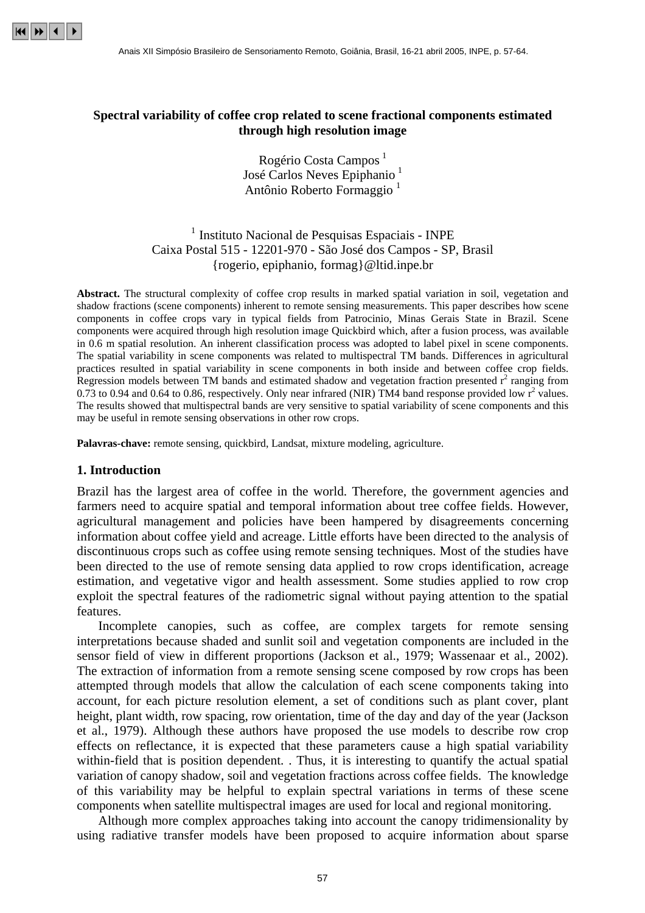

## **Spectral variability of coffee crop related to scene fractional components estimated through high resolution image**

Rogério Costa Campos<sup>1</sup> José Carlos Neves Epiphanio<sup>1</sup> Antônio Roberto Formaggio 1

# <sup>1</sup> Instituto Nacional de Pesquisas Espaciais - INPE Caixa Postal 515 - 12201-970 - São José dos Campos - SP, Brasil {rogerio, epiphanio, formag}@ltid.inpe.br

**Abstract.** The structural complexity of coffee crop results in marked spatial variation in soil, vegetation and shadow fractions (scene components) inherent to remote sensing measurements. This paper describes how scene components in coffee crops vary in typical fields from Patrocinio, Minas Gerais State in Brazil. Scene components were acquired through high resolution image Quickbird which, after a fusion process, was available in 0.6 m spatial resolution. An inherent classification process was adopted to label pixel in scene components. The spatial variability in scene components was related to multispectral TM bands. Differences in agricultural practices resulted in spatial variability in scene components in both inside and between coffee crop fields. Regression models between TM bands and estimated shadow and vegetation fraction presented  $r^2$  ranging from 0.73 to 0.94 and 0.64 to 0.86, respectively. Only near infrared (NIR) TM4 band response provided low  $r^2$  values. The results showed that multispectral bands are very sensitive to spatial variability of scene components and this may be useful in remote sensing observations in other row crops.

**Palavras-chave:** remote sensing, quickbird, Landsat, mixture modeling, agriculture.

#### **1. Introduction**

Brazil has the largest area of coffee in the world. Therefore, the government agencies and farmers need to acquire spatial and temporal information about tree coffee fields. However, agricultural management and policies have been hampered by disagreements concerning information about coffee yield and acreage. Little efforts have been directed to the analysis of discontinuous crops such as coffee using remote sensing techniques. Most of the studies have been directed to the use of remote sensing data applied to row crops identification, acreage estimation, and vegetative vigor and health assessment. Some studies applied to row crop exploit the spectral features of the radiometric signal without paying attention to the spatial features.

Incomplete canopies, such as coffee, are complex targets for remote sensing interpretations because shaded and sunlit soil and vegetation components are included in the sensor field of view in different proportions (Jackson et al., 1979; Wassenaar et al., 2002). The extraction of information from a remote sensing scene composed by row crops has been attempted through models that allow the calculation of each scene components taking into account, for each picture resolution element, a set of conditions such as plant cover, plant height, plant width, row spacing, row orientation, time of the day and day of the year (Jackson et al., 1979). Although these authors have proposed the use models to describe row crop effects on reflectance, it is expected that these parameters cause a high spatial variability within-field that is position dependent. . Thus, it is interesting to quantify the actual spatial variation of canopy shadow, soil and vegetation fractions across coffee fields. The knowledge of this variability may be helpful to explain spectral variations in terms of these scene components when satellite multispectral images are used for local and regional monitoring.

Although more complex approaches taking into account the canopy tridimensionality by using radiative transfer models have been proposed to acquire information about sparse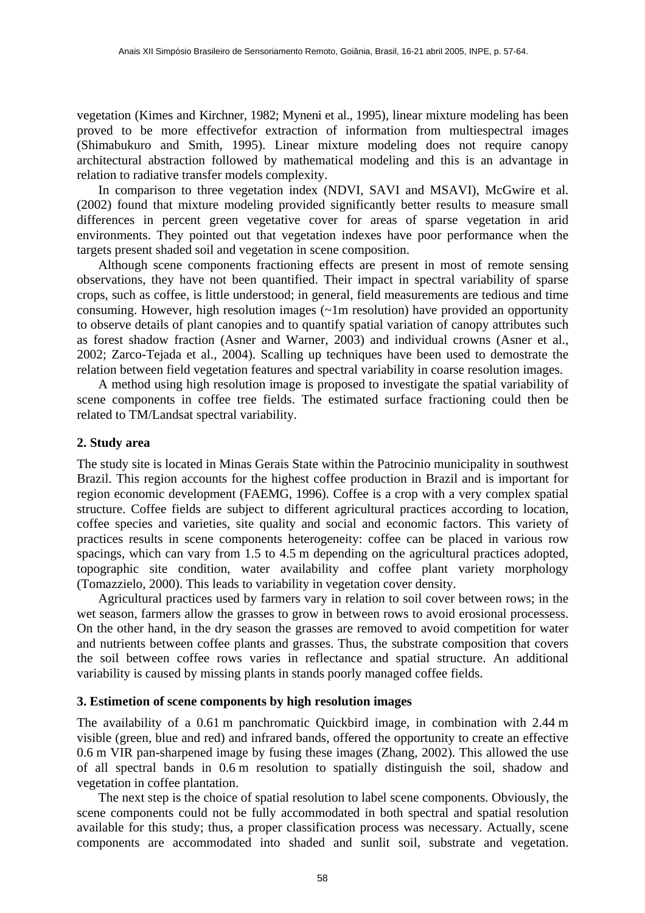vegetation (Kimes and Kirchner, 1982; Myneni et al., 1995), linear mixture modeling has been proved to be more effectivefor extraction of information from multiespectral images (Shimabukuro and Smith, 1995). Linear mixture modeling does not require canopy architectural abstraction followed by mathematical modeling and this is an advantage in relation to radiative transfer models complexity.

In comparison to three vegetation index (NDVI, SAVI and MSAVI), McGwire et al. (2002) found that mixture modeling provided significantly better results to measure small differences in percent green vegetative cover for areas of sparse vegetation in arid environments. They pointed out that vegetation indexes have poor performance when the targets present shaded soil and vegetation in scene composition.

Although scene components fractioning effects are present in most of remote sensing observations, they have not been quantified. Their impact in spectral variability of sparse crops, such as coffee, is little understood; in general, field measurements are tedious and time consuming. However, high resolution images (~1m resolution) have provided an opportunity to observe details of plant canopies and to quantify spatial variation of canopy attributes such as forest shadow fraction (Asner and Warner, 2003) and individual crowns (Asner et al., 2002; Zarco-Tejada et al., 2004). Scalling up techniques have been used to demostrate the relation between field vegetation features and spectral variability in coarse resolution images.

A method using high resolution image is proposed to investigate the spatial variability of scene components in coffee tree fields. The estimated surface fractioning could then be related to TM/Landsat spectral variability.

#### **2. Study area**

The study site is located in Minas Gerais State within the Patrocinio municipality in southwest Brazil. This region accounts for the highest coffee production in Brazil and is important for region economic development (FAEMG, 1996). Coffee is a crop with a very complex spatial structure. Coffee fields are subject to different agricultural practices according to location, coffee species and varieties, site quality and social and economic factors. This variety of practices results in scene components heterogeneity: coffee can be placed in various row spacings, which can vary from 1.5 to 4.5 m depending on the agricultural practices adopted, topographic site condition, water availability and coffee plant variety morphology (Tomazzielo, 2000). This leads to variability in vegetation cover density.

Agricultural practices used by farmers vary in relation to soil cover between rows; in the wet season, farmers allow the grasses to grow in between rows to avoid erosional processess. On the other hand, in the dry season the grasses are removed to avoid competition for water and nutrients between coffee plants and grasses. Thus, the substrate composition that covers the soil between coffee rows varies in reflectance and spatial structure. An additional variability is caused by missing plants in stands poorly managed coffee fields.

#### **3. Estimetion of scene components by high resolution images**

The availability of a 0.61 m panchromatic Quickbird image, in combination with 2.44 m visible (green, blue and red) and infrared bands, offered the opportunity to create an effective 0.6 m VIR pan-sharpened image by fusing these images (Zhang, 2002). This allowed the use of all spectral bands in 0.6 m resolution to spatially distinguish the soil, shadow and vegetation in coffee plantation.

The next step is the choice of spatial resolution to label scene components. Obviously, the scene components could not be fully accommodated in both spectral and spatial resolution available for this study; thus, a proper classification process was necessary. Actually, scene components are accommodated into shaded and sunlit soil, substrate and vegetation.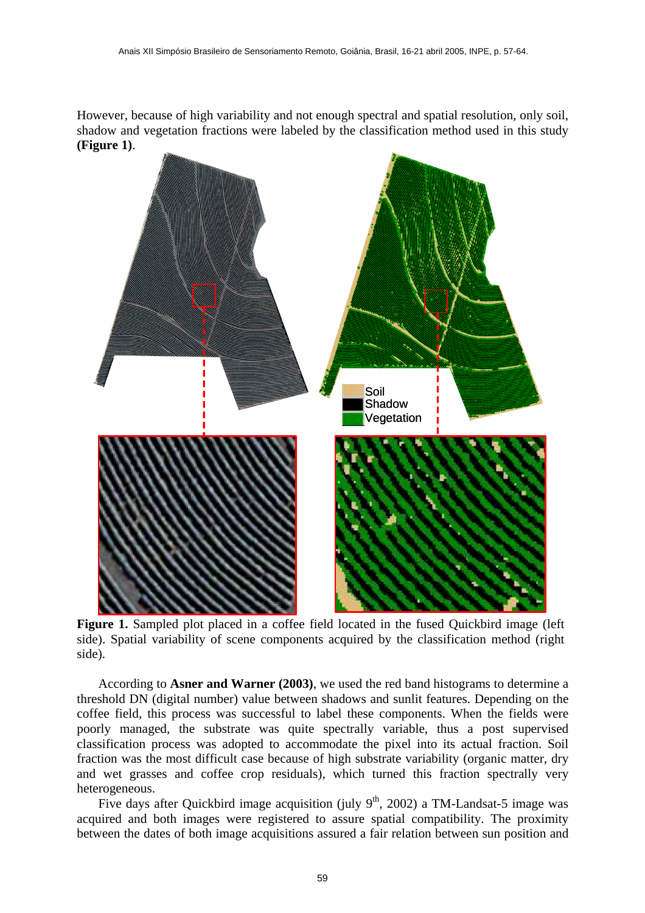However, because of high variability and not enough spectral and spatial resolution, only soil, shadow and vegetation fractions were labeled by the classification method used in this study **(Figure 1)**.



Figure 1. Sampled plot placed in a coffee field located in the fused Quickbird image (left) side). Spatial variability of scene components acquired by the classification method (right side).

According to **Asner and Warner (2003)**, we used the red band histograms to determine a threshold DN (digital number) value between shadows and sunlit features. Depending on the coffee field, this process was successful to label these components. When the fields were poorly managed, the substrate was quite spectrally variable, thus a post supervised classification process was adopted to accommodate the pixel into its actual fraction. Soil fraction was the most difficult case because of high substrate variability (organic matter, dry and wet grasses and coffee crop residuals), which turned this fraction spectrally very heterogeneous.

Five days after Quickbird image acquisition (july  $9<sup>th</sup>$ , 2002) a TM-Landsat-5 image was acquired and both images were registered to assure spatial compatibility. The proximity between the dates of both image acquisitions assured a fair relation between sun position and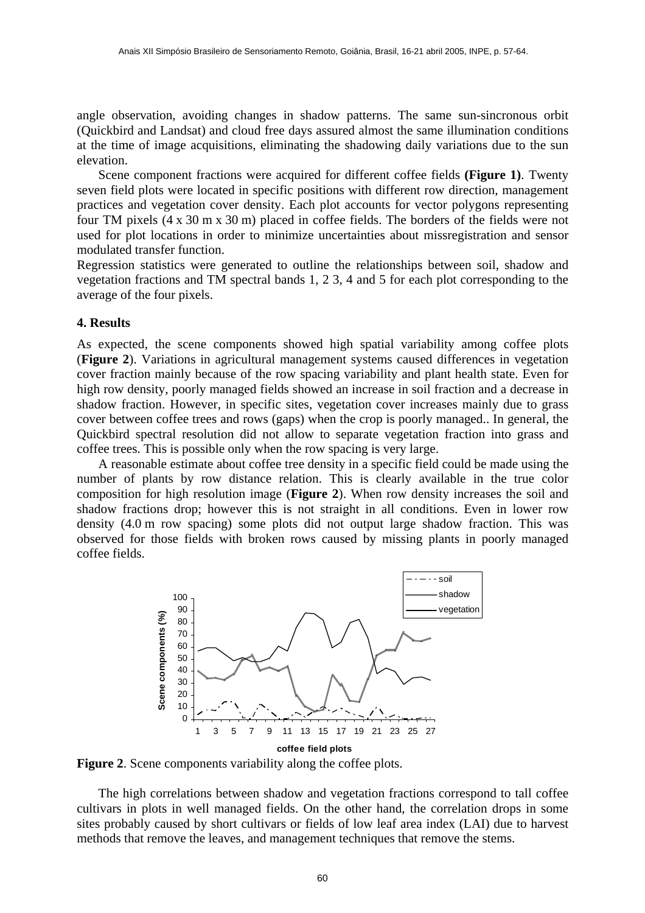angle observation, avoiding changes in shadow patterns. The same sun-sincronous orbit (Quickbird and Landsat) and cloud free days assured almost the same illumination conditions at the time of image acquisitions, eliminating the shadowing daily variations due to the sun elevation.

Scene component fractions were acquired for different coffee fields **(Figure 1)**. Twenty seven field plots were located in specific positions with different row direction, management practices and vegetation cover density. Each plot accounts for vector polygons representing four TM pixels (4 x 30 m x 30 m) placed in coffee fields. The borders of the fields were not used for plot locations in order to minimize uncertainties about missregistration and sensor modulated transfer function.

Regression statistics were generated to outline the relationships between soil, shadow and vegetation fractions and TM spectral bands 1, 2 3, 4 and 5 for each plot corresponding to the average of the four pixels.

#### **4. Results**

As expected, the scene components showed high spatial variability among coffee plots (**Figure 2**). Variations in agricultural management systems caused differences in vegetation cover fraction mainly because of the row spacing variability and plant health state. Even for high row density, poorly managed fields showed an increase in soil fraction and a decrease in shadow fraction. However, in specific sites, vegetation cover increases mainly due to grass cover between coffee trees and rows (gaps) when the crop is poorly managed.. In general, the Quickbird spectral resolution did not allow to separate vegetation fraction into grass and coffee trees. This is possible only when the row spacing is very large.

A reasonable estimate about coffee tree density in a specific field could be made using the number of plants by row distance relation. This is clearly available in the true color composition for high resolution image (**Figure 2**). When row density increases the soil and shadow fractions drop; however this is not straight in all conditions. Even in lower row density (4.0 m row spacing) some plots did not output large shadow fraction. This was observed for those fields with broken rows caused by missing plants in poorly managed coffee fields.



**Figure 2**. Scene components variability along the coffee plots.

The high correlations between shadow and vegetation fractions correspond to tall coffee cultivars in plots in well managed fields. On the other hand, the correlation drops in some sites probably caused by short cultivars or fields of low leaf area index (LAI) due to harvest methods that remove the leaves, and management techniques that remove the stems.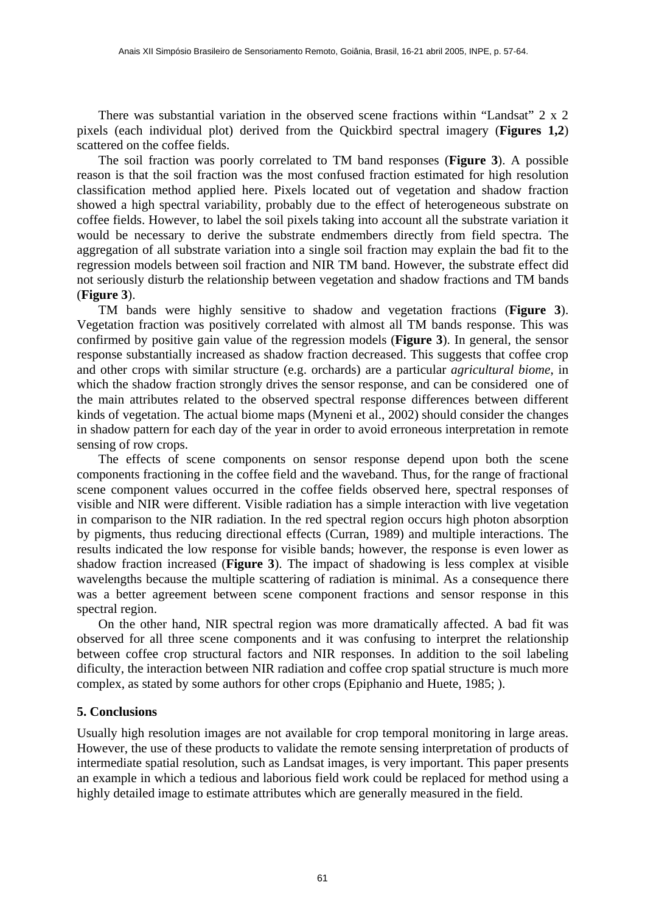There was substantial variation in the observed scene fractions within "Landsat"  $2 \times 2$ pixels (each individual plot) derived from the Quickbird spectral imagery (**Figures 1,2**) scattered on the coffee fields.

The soil fraction was poorly correlated to TM band responses (**Figure 3**). A possible reason is that the soil fraction was the most confused fraction estimated for high resolution classification method applied here. Pixels located out of vegetation and shadow fraction showed a high spectral variability, probably due to the effect of heterogeneous substrate on coffee fields. However, to label the soil pixels taking into account all the substrate variation it would be necessary to derive the substrate endmembers directly from field spectra. The aggregation of all substrate variation into a single soil fraction may explain the bad fit to the regression models between soil fraction and NIR TM band. However, the substrate effect did not seriously disturb the relationship between vegetation and shadow fractions and TM bands (**Figure 3**).

TM bands were highly sensitive to shadow and vegetation fractions (**Figure 3**). Vegetation fraction was positively correlated with almost all TM bands response. This was confirmed by positive gain value of the regression models (**Figure 3**). In general, the sensor response substantially increased as shadow fraction decreased. This suggests that coffee crop and other crops with similar structure (e.g. orchards) are a particular *agricultural biome*, in which the shadow fraction strongly drives the sensor response, and can be considered one of the main attributes related to the observed spectral response differences between different kinds of vegetation. The actual biome maps (Myneni et al., 2002) should consider the changes in shadow pattern for each day of the year in order to avoid erroneous interpretation in remote sensing of row crops.

The effects of scene components on sensor response depend upon both the scene components fractioning in the coffee field and the waveband. Thus, for the range of fractional scene component values occurred in the coffee fields observed here, spectral responses of visible and NIR were different. Visible radiation has a simple interaction with live vegetation in comparison to the NIR radiation. In the red spectral region occurs high photon absorption by pigments, thus reducing directional effects (Curran, 1989) and multiple interactions. The results indicated the low response for visible bands; however, the response is even lower as shadow fraction increased (**Figure 3**). The impact of shadowing is less complex at visible wavelengths because the multiple scattering of radiation is minimal. As a consequence there was a better agreement between scene component fractions and sensor response in this spectral region.

On the other hand, NIR spectral region was more dramatically affected. A bad fit was observed for all three scene components and it was confusing to interpret the relationship between coffee crop structural factors and NIR responses. In addition to the soil labeling dificulty, the interaction between NIR radiation and coffee crop spatial structure is much more complex, as stated by some authors for other crops (Epiphanio and Huete, 1985; ).

#### **5. Conclusions**

Usually high resolution images are not available for crop temporal monitoring in large areas. However, the use of these products to validate the remote sensing interpretation of products of intermediate spatial resolution, such as Landsat images, is very important. This paper presents an example in which a tedious and laborious field work could be replaced for method using a highly detailed image to estimate attributes which are generally measured in the field.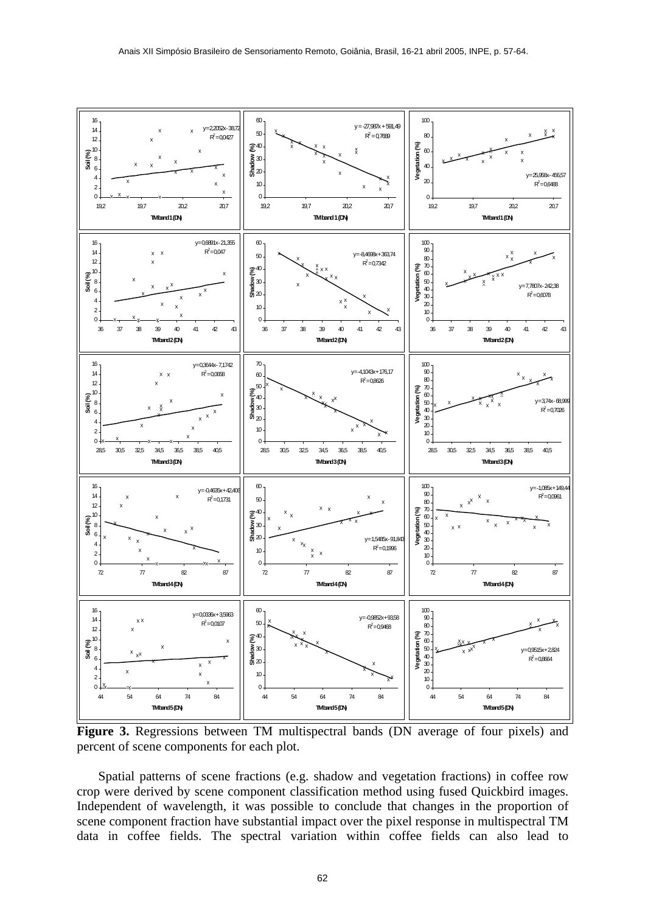

**Figure 3.** Regressions between TM multispectral bands (DN average of four pixels) and percent of scene components for each plot.

Spatial patterns of scene fractions (e.g. shadow and vegetation fractions) in coffee row crop were derived by scene component classification method using fused Quickbird images. Independent of wavelength, it was possible to conclude that changes in the proportion of scene component fraction have substantial impact over the pixel response in multispectral TM data in coffee fields. The spectral variation within coffee fields can also lead to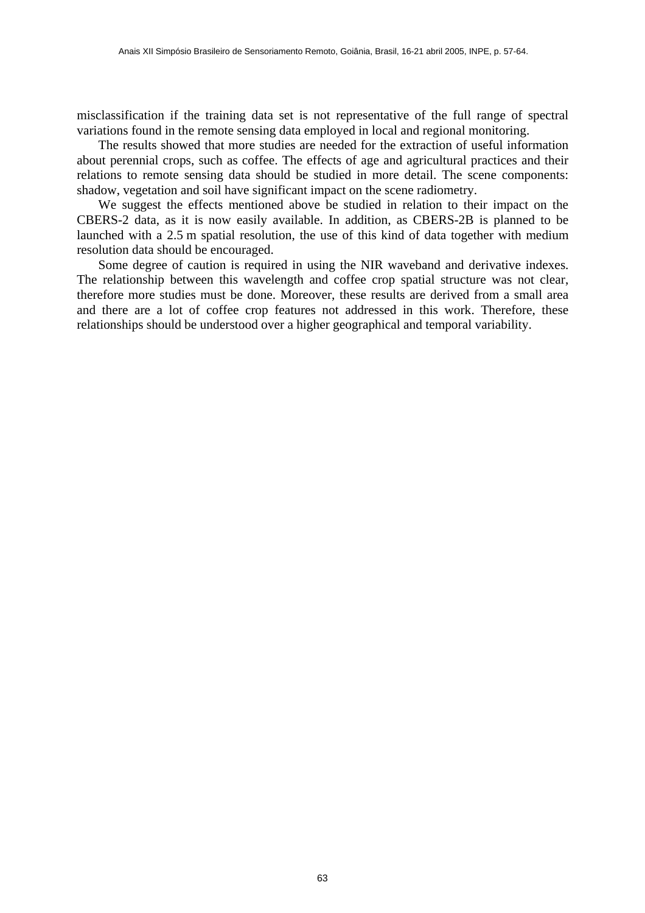misclassification if the training data set is not representative of the full range of spectral variations found in the remote sensing data employed in local and regional monitoring.

The results showed that more studies are needed for the extraction of useful information about perennial crops, such as coffee. The effects of age and agricultural practices and their relations to remote sensing data should be studied in more detail. The scene components: shadow, vegetation and soil have significant impact on the scene radiometry.

We suggest the effects mentioned above be studied in relation to their impact on the CBERS-2 data, as it is now easily available. In addition, as CBERS-2B is planned to be launched with a 2.5 m spatial resolution, the use of this kind of data together with medium resolution data should be encouraged.

Some degree of caution is required in using the NIR waveband and derivative indexes. The relationship between this wavelength and coffee crop spatial structure was not clear, therefore more studies must be done. Moreover, these results are derived from a small area and there are a lot of coffee crop features not addressed in this work. Therefore, these relationships should be understood over a higher geographical and temporal variability.